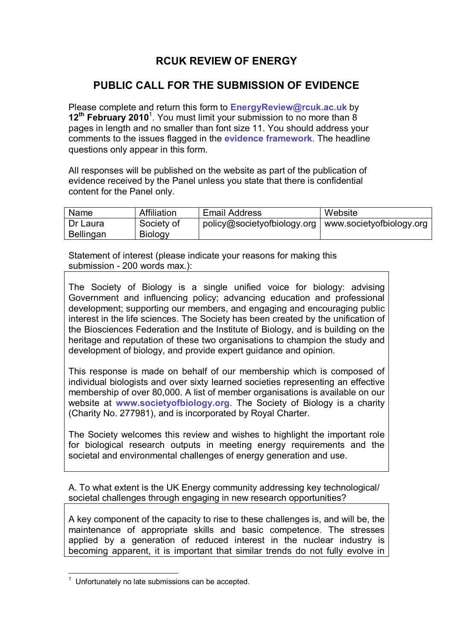## **RCUK REVIEW OF ENERGY**

## **PUBLIC CALL FOR THE SUBMISSION OF EVIDENCE**

Please complete and return this form to **EnergyReview@rcuk.ac.uk** by 12<sup>th</sup> February 2010<sup>1</sup>. You must limit your submission to no more than 8 pages in length and no smaller than font size 11. You should address your comments to the issues flagged in the **evidence framework**. The headline questions only appear in this form.

All responses will be published on the website as part of the publication of evidence received by the Panel unless you state that there is confidential content for the Panel only.

| Name      | Affiliation    | <b>Email Address</b>                                   | Website |
|-----------|----------------|--------------------------------------------------------|---------|
| Dr Laura  | Society of     | policy@societyofbiology.org   www.societyofbiology.org |         |
| Bellingan | <b>Biology</b> |                                                        |         |

Statement of interest (please indicate your reasons for making this submission - 200 words max.):

The Society of Biology is a single unified voice for biology: advising Government and influencing policy; advancing education and professional development; supporting our members, and engaging and encouraging public interest in the life sciences. The Society has been created by the unification of the Biosciences Federation and the Institute of Biology, and is building on the heritage and reputation of these two organisations to champion the study and development of biology, and provide expert guidance and opinion.

This response is made on behalf of our membership which is composed of individual biologists and over sixty learned societies representing an effective membership of over 80,000. A list of member organisations is available on our website at **www.societyofbiology.org**. The Society of Biology is a charity (Charity No. 277981), and is incorporated by Royal Charter.

The Society welcomes this review and wishes to highlight the important role for biological research outputs in meeting energy requirements and the societal and environmental challenges of energy generation and use.

A. To what extent is the UK Energy community addressing key technological/ societal challenges through engaging in new research opportunities?

A key component of the capacity to rise to these challenges is, and will be, the maintenance of appropriate skills and basic competence. The stresses applied by a generation of reduced interest in the nuclear industry is becoming apparent, it is important that similar trends do not fully evolve in

1 Unfortunately no late submissions can be accepted.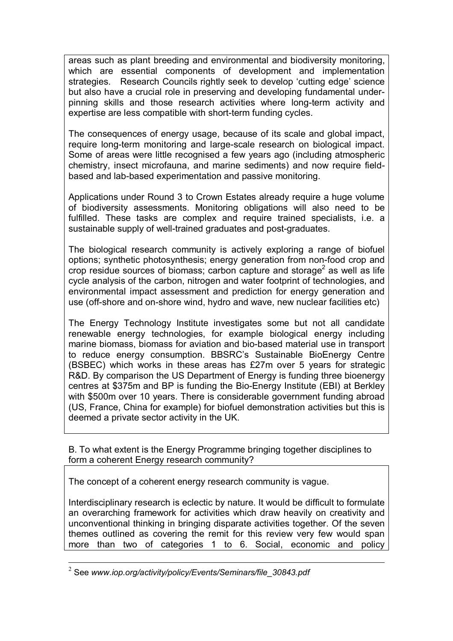areas such as plant breeding and environmental and biodiversity monitoring, which are essential components of development and implementation strategies. Research Councils rightly seek to develop 'cutting edge' science but also have a crucial role in preserving and developing fundamental underpinning skills and those research activities where long-term activity and expertise are less compatible with short-term funding cycles.

The consequences of energy usage, because of its scale and global impact, require long-term monitoring and large-scale research on biological impact. Some of areas were little recognised a few years ago (including atmospheric chemistry, insect microfauna, and marine sediments) and now require fieldbased and lab-based experimentation and passive monitoring.

Applications under Round 3 to Crown Estates already require a huge volume of biodiversity assessments. Monitoring obligations will also need to be fulfilled. These tasks are complex and require trained specialists, i.e. a sustainable supply of well-trained graduates and post-graduates.

The biological research community is actively exploring a range of biofuel options; synthetic photosynthesis; energy generation from non-food crop and crop residue sources of biomass; carbon capture and storage<sup>2</sup> as well as life cycle analysis of the carbon, nitrogen and water footprint of technologies, and environmental impact assessment and prediction for energy generation and use (off-shore and on-shore wind, hydro and wave, new nuclear facilities etc)

The Energy Technology Institute investigates some but not all candidate renewable energy technologies, for example biological energy including marine biomass, biomass for aviation and bio-based material use in transport to reduce energy consumption. BBSRC's Sustainable BioEnergy Centre (BSBEC) which works in these areas has £27m over 5 years for strategic R&D. By comparison the US Department of Energy is funding three bioenergy centres at \$375m and BP is funding the Bio-Energy Institute (EBI) at Berkley with \$500m over 10 years. There is considerable government funding abroad (US, France, China for example) for biofuel demonstration activities but this is deemed a private sector activity in the UK.

B. To what extent is the Energy Programme bringing together disciplines to form a coherent Energy research community?

The concept of a coherent energy research community is vague.

Interdisciplinary research is eclectic by nature. It would be difficult to formulate an overarching framework for activities which draw heavily on creativity and unconventional thinking in bringing disparate activities together. Of the seven themes outlined as covering the remit for this review very few would span more than two of categories 1 to 6. Social, economic and policy

 <sup>2</sup> See *www.iop.org/activity/policy/Events/Seminars/file\_30843.pdf*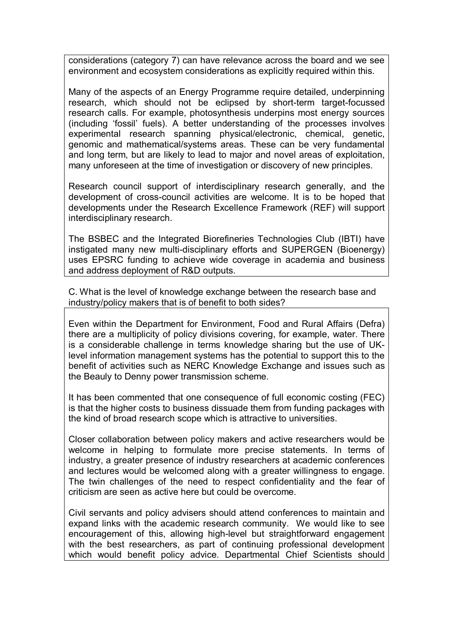considerations (category 7) can have relevance across the board and we see environment and ecosystem considerations as explicitly required within this.

Many of the aspects of an Energy Programme require detailed, underpinning research, which should not be eclipsed by short-term target-focussed research calls. For example, photosynthesis underpins most energy sources (including 'fossil' fuels). A better understanding of the processes involves experimental research spanning physical/electronic, chemical, genetic, genomic and mathematical/systems areas. These can be very fundamental and long term, but are likely to lead to major and novel areas of exploitation, many unforeseen at the time of investigation or discovery of new principles.

Research council support of interdisciplinary research generally, and the development of cross-council activities are welcome. It is to be hoped that developments under the Research Excellence Framework (REF) will support interdisciplinary research.

The BSBEC and the Integrated Biorefineries Technologies Club (IBTI) have instigated many new multi-disciplinary efforts and SUPERGEN (Bioenergy) uses EPSRC funding to achieve wide coverage in academia and business and address deployment of R&D outputs.

C. What is the level of knowledge exchange between the research base and industry/policy makers that is of benefit to both sides?

Even within the Department for Environment, Food and Rural Affairs (Defra) there are a multiplicity of policy divisions covering, for example, water. There is a considerable challenge in terms knowledge sharing but the use of UKlevel information management systems has the potential to support this to the benefit of activities such as NERC Knowledge Exchange and issues such as the Beauly to Denny power transmission scheme.

It has been commented that one consequence of full economic costing (FEC) is that the higher costs to business dissuade them from funding packages with the kind of broad research scope which is attractive to universities.

Closer collaboration between policy makers and active researchers would be welcome in helping to formulate more precise statements. In terms of industry, a greater presence of industry researchers at academic conferences and lectures would be welcomed along with a greater willingness to engage. The twin challenges of the need to respect confidentiality and the fear of criticism are seen as active here but could be overcome.

Civil servants and policy advisers should attend conferences to maintain and expand links with the academic research community. We would like to see encouragement of this, allowing high-level but straightforward engagement with the best researchers, as part of continuing professional development which would benefit policy advice. Departmental Chief Scientists should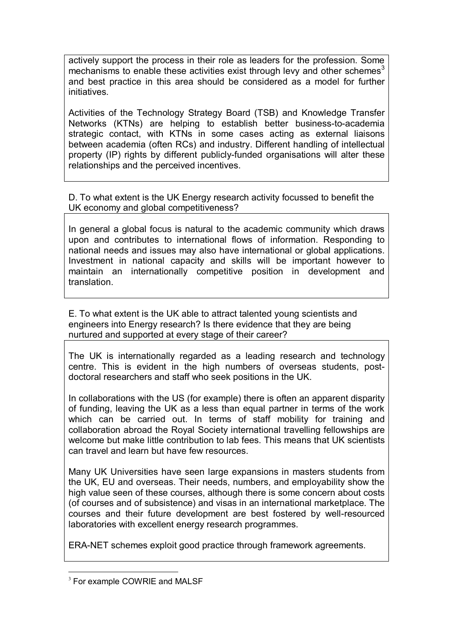actively support the process in their role as leaders for the profession. Some mechanisms to enable these activities exist through levy and other schemes<sup>3</sup> and best practice in this area should be considered as a model for further initiatives.

Activities of the Technology Strategy Board (TSB) and Knowledge Transfer Networks (KTNs) are helping to establish better business-to-academia strategic contact, with KTNs in some cases acting as external liaisons between academia (often RCs) and industry. Different handling of intellectual property (IP) rights by different publicly-funded organisations will alter these relationships and the perceived incentives.

D. To what extent is the UK Energy research activity focussed to benefit the UK economy and global competitiveness?

In general a global focus is natural to the academic community which draws upon and contributes to international flows of information. Responding to national needs and issues may also have international or global applications. Investment in national capacity and skills will be important however to maintain an internationally competitive position in development and translation.

E. To what extent is the UK able to attract talented young scientists and engineers into Energy research? Is there evidence that they are being nurtured and supported at every stage of their career?

The UK is internationally regarded as a leading research and technology centre. This is evident in the high numbers of overseas students, postdoctoral researchers and staff who seek positions in the UK.

In collaborations with the US (for example) there is often an apparent disparity of funding, leaving the UK as a less than equal partner in terms of the work which can be carried out. In terms of staff mobility for training and collaboration abroad the Royal Society international travelling fellowships are welcome but make little contribution to lab fees. This means that UK scientists can travel and learn but have few resources.

Many UK Universities have seen large expansions in masters students from the UK, EU and overseas. Their needs, numbers, and employability show the high value seen of these courses, although there is some concern about costs (of courses and of subsistence) and visas in an international marketplace. The courses and their future development are best fostered by well-resourced laboratories with excellent energy research programmes.

ERA-NET schemes exploit good practice through framework agreements.

<sup>&</sup>lt;sup>3</sup> For example COWRIE and MALSF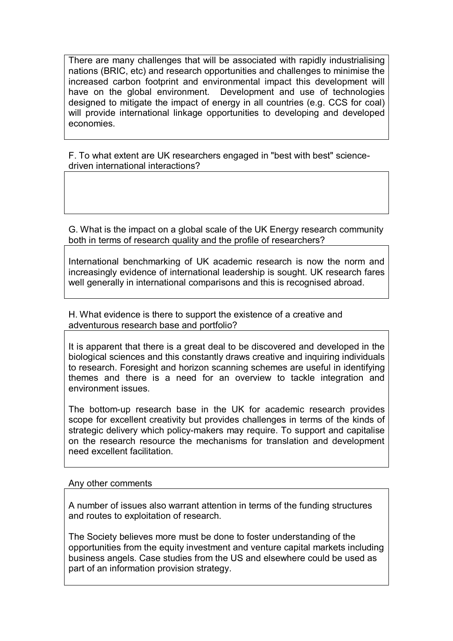There are many challenges that will be associated with rapidly industrialising nations (BRIC, etc) and research opportunities and challenges to minimise the increased carbon footprint and environmental impact this development will have on the global environment. Development and use of technologies designed to mitigate the impact of energy in all countries (e.g. CCS for coal) will provide international linkage opportunities to developing and developed economies.

F. To what extent are UK researchers engaged in "best with best" sciencedriven international interactions?

G. What is the impact on a global scale of the UK Energy research community both in terms of research quality and the profile of researchers?

International benchmarking of UK academic research is now the norm and increasingly evidence of international leadership is sought. UK research fares well generally in international comparisons and this is recognised abroad.

H. What evidence is there to support the existence of a creative and adventurous research base and portfolio?

It is apparent that there is a great deal to be discovered and developed in the biological sciences and this constantly draws creative and inquiring individuals to research. Foresight and horizon scanning schemes are useful in identifying themes and there is a need for an overview to tackle integration and environment issues.

The bottom-up research base in the UK for academic research provides scope for excellent creativity but provides challenges in terms of the kinds of strategic delivery which policy-makers may require. To support and capitalise on the research resource the mechanisms for translation and development need excellent facilitation.

Any other comments

A number of issues also warrant attention in terms of the funding structures and routes to exploitation of research.

The Society believes more must be done to foster understanding of the opportunities from the equity investment and venture capital markets including business angels. Case studies from the US and elsewhere could be used as part of an information provision strategy.